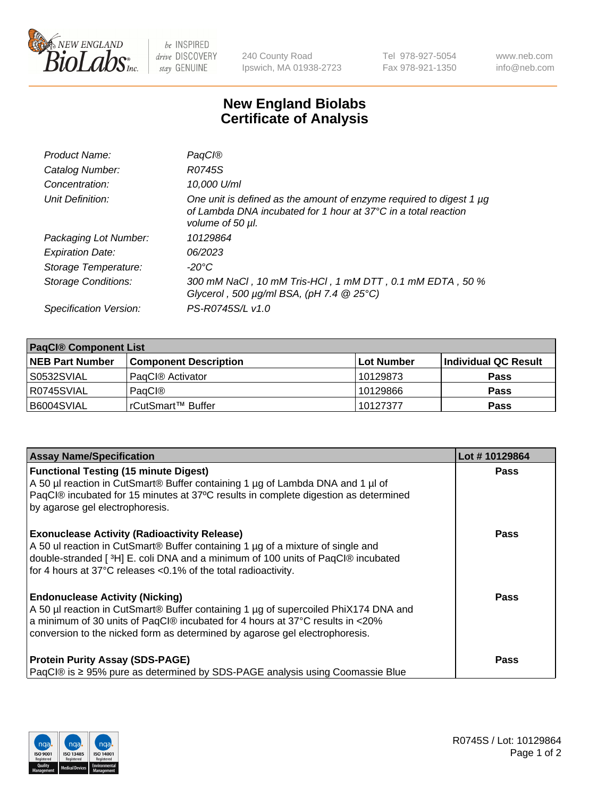

 $be$  INSPIRED drive DISCOVERY stay GENUINE

240 County Road Ipswich, MA 01938-2723 Tel 978-927-5054 Fax 978-921-1350 www.neb.com info@neb.com

## **New England Biolabs Certificate of Analysis**

| Product Name:              | PagCl®                                                                                                                                                              |
|----------------------------|---------------------------------------------------------------------------------------------------------------------------------------------------------------------|
| Catalog Number:            | R0745S                                                                                                                                                              |
| Concentration:             | 10,000 U/ml                                                                                                                                                         |
| Unit Definition:           | One unit is defined as the amount of enzyme required to digest 1 µg<br>of Lambda DNA incubated for 1 hour at $37^{\circ}$ C in a total reaction<br>volume of 50 µl. |
| Packaging Lot Number:      | 10129864                                                                                                                                                            |
| <b>Expiration Date:</b>    | 06/2023                                                                                                                                                             |
| Storage Temperature:       | -20°C                                                                                                                                                               |
| <b>Storage Conditions:</b> | 300 mM NaCl, 10 mM Tris-HCl, 1 mM DTT, 0.1 mM EDTA, 50 %<br>Glycerol, 500 $\mu$ g/ml BSA, (pH 7.4 $@25°C$ )                                                         |
| Specification Version:     | PS-R0745S/L v1.0                                                                                                                                                    |

| <b>PaqCI® Component List</b> |                              |                   |                      |  |  |
|------------------------------|------------------------------|-------------------|----------------------|--|--|
| <b>NEB Part Number</b>       | <b>Component Description</b> | <b>Lot Number</b> | Individual QC Result |  |  |
| S0532SVIAL                   | PagCl <sup>®</sup> Activator | 10129873          | <b>Pass</b>          |  |  |
| R0745SVIAL                   | PagCl®                       | 10129866          | <b>Pass</b>          |  |  |
| B6004SVIAL                   | l rCutSmart™ Buffer          | 10127377          | <b>Pass</b>          |  |  |

| <b>Assay Name/Specification</b>                                                                                                                                                                                                                                                               | Lot #10129864 |
|-----------------------------------------------------------------------------------------------------------------------------------------------------------------------------------------------------------------------------------------------------------------------------------------------|---------------|
| <b>Functional Testing (15 minute Digest)</b><br>A 50 µl reaction in CutSmart® Buffer containing 1 µg of Lambda DNA and 1 µl of<br>PaqCl® incubated for 15 minutes at 37°C results in complete digestion as determined<br>by agarose gel electrophoresis.                                      | <b>Pass</b>   |
| <b>Exonuclease Activity (Radioactivity Release)</b><br>A 50 ul reaction in CutSmart® Buffer containing 1 µg of a mixture of single and<br>double-stranded [3H] E. coli DNA and a minimum of 100 units of PaqCl® incubated<br>for 4 hours at 37°C releases <0.1% of the total radioactivity.   | Pass          |
| <b>Endonuclease Activity (Nicking)</b><br>A 50 µl reaction in CutSmart® Buffer containing 1 µg of supercoiled PhiX174 DNA and<br>a minimum of 30 units of PaqCl® incubated for 4 hours at 37°C results in <20%<br>conversion to the nicked form as determined by agarose gel electrophoresis. | <b>Pass</b>   |
| <b>Protein Purity Assay (SDS-PAGE)</b><br>PaqCl® is ≥ 95% pure as determined by SDS-PAGE analysis using Coomassie Blue                                                                                                                                                                        | Pass          |